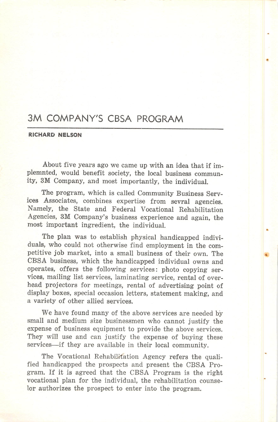## 3M COMPANY'S CBSA PROGRAM

## RICHARD NELSON

About five years ago we came up with an idea that if implemnted, would benefit society, the local business commun ity, 3M Company, and most importantly, the individual.

The program, which is called Community Business Serv ices Associates, combines expertise from sevral agencies. Namely, the State and Federal Vocational Rehabilitation Agencies, 3M Company's business experience and again, the most important ingredient, the individual.

The plan was to establish physical handicapped indivi duals, who could not otherwise find employment in the com petitive job market, into a small business of their own. The CBSA business, which the handicapped individual owns and operates, offers the following services: photo copying ser vices, mailing list services, laminating service, rental of over head projectors for meetings, rental of advertising point of display boxes, special occasion letters, statement making, and a variety of other allied services.

We have found many of the above services are needed by small and medium size businessmen who cannot justify the expense of business equipment to provide the above services. They will use and can justify the expense of buying these services—if they are available in their local community.

The Vocational Rehabilitation Agency refers the qualified handicapped the prospects and present the CBSA Pro gram. If it is agreed that the CBSA Program is the right vocational plan for the individual, the rehabilitation counse lor authorizes the prospect to enter into the program.